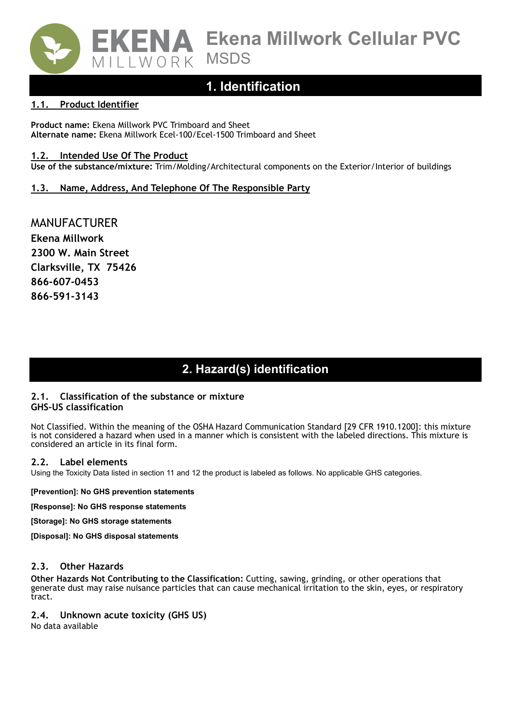

### **1. Identification**

#### **1.1. Product Identifier**

**Product name:** Ekena Millwork PVC Trimboard and Sheet **Alternate name:** Ekena Millwork Ecel-100/Ecel-1500 Trimboard and Sheet

#### **1.2. Intended Use Of The Product**

**Use of the substance/mixture:** Trim/Molding/Architectural components on the Exterior/Interior of buildings

#### **1.3. Name, Address, And Telephone Of The Responsible Party**

MANUFACTURER **Ekena Millwork 2300 W. Main Street Clarksville, TX 75426 866-607-0453 866-591-3143**

### **SECTION 2: Hazards identification 2. Hazard(s) identification**

#### **2.1. Classification of the substance or mixture GHS-US classification**

Not Classified. Within the meaning of the OSHA Hazard Communication Standard [29 CFR 1910.1200]: this mixture is not considered a hazard when used in a manner which is consistent with the labeled directions. This mixture is considered an article in its final form.

#### **2.2. Label elements**

Using the Toxicity Data listed in section 11 and 12 the product is labeled as follows. No applicable GHS categories.

**[Prevention]: No GHS prevention statements** 

**[Response]: No GHS response statements** 

**[Storage]: No GHS storage statements** 

**[Disposal]: No GHS disposal statements** 

#### **2.3. Other Hazards**

**Other Hazards Not Contributing to the Classification:** Cutting, sawing, grinding, or other operations that generate dust may raise nuisance particles that can cause mechanical irritation to the skin, eyes, or respiratory tract.

#### **2.4. Unknown acute toxicity (GHS US)**

No data available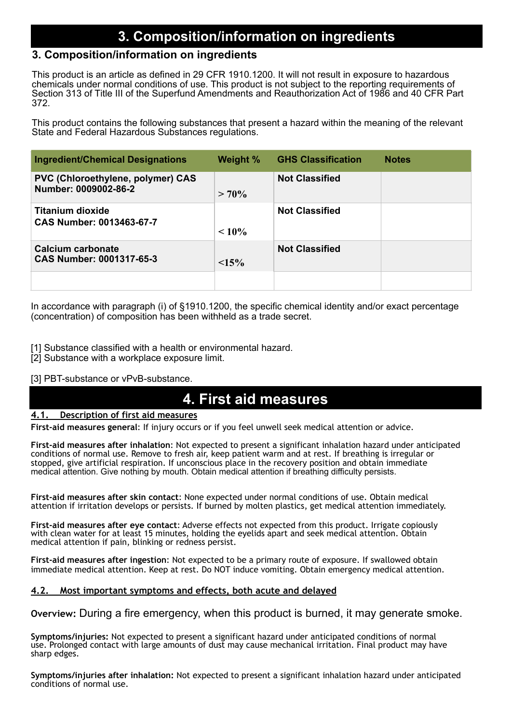# **SECTION 3: Composition/information on ingredients 3. Composition/information on ingredients**

### **3. Composition/information on ingredients**

This product is an article as defined in 29 CFR 1910.1200. It will not result in exposure to hazardous chemicals under normal conditions of use. This product is not subject to the reporting requirements of Section 313 of Title III of the Superfund Amendments and Reauthorization Act of 1986 and 40 CFR Part 372.

This product contains the following substances that present a hazard within the meaning of the relevant State and Federal Hazardous Substances regulations.

| <b>Ingredient/Chemical Designations</b>                          | Weight % | <b>GHS Classification</b> | <b>Notes</b> |
|------------------------------------------------------------------|----------|---------------------------|--------------|
| <b>PVC (Chloroethylene, polymer) CAS</b><br>Number: 0009002-86-2 | $> 70\%$ | <b>Not Classified</b>     |              |
| Titanium dioxide<br><b>CAS Number: 0013463-67-7</b>              | $~10\%$  | <b>Not Classified</b>     |              |
| <b>Calcium carbonate</b><br><b>CAS Number: 0001317-65-3</b>      | $15\%$   | <b>Not Classified</b>     |              |
|                                                                  |          |                           |              |

In accordance with paragraph (i) of §1910.1200, the specific chemical identity and/or exact percentage (concentration) of composition has been withheld as a trade secret.

- [1] Substance classified with a health or environmental hazard.
- [2] Substance with a workplace exposure limit.

#### [3] PBT-substance or vPvB-substance.

#### **CTION 4: First aid measures 4. First aid measures**

#### **4.1. Description of first aid measures**

**First-aid measures general**: If injury occurs or if you feel unwell seek medical attention or advice.

**First-aid measures after inhalation**: Not expected to present a significant inhalation hazard under anticipated conditions of normal use. Remove to fresh air, keep patient warm and at rest. If breathing is irregular or stopped, give artificial respiration. If unconscious place in the recovery position and obtain immediate medical attention. Give nothing by mouth. Obtain medical attention if breathing difficulty persists.

**First-aid measures after skin contact**: None expected under normal conditions of use. Obtain medical attention if irritation develops or persists. If burned by molten plastics, get medical attention immediately.

**First-aid measures after eye contact**: Adverse effects not expected from this product. Irrigate copiously with clean water for at least 15 minutes, holding the eyelids apart and seek medical attention. Obtain medical attention if pain, blinking or redness persist.

**First-aid measures after ingestion**: Not expected to be a primary route of exposure. If swallowed obtain immediate medical attention. Keep at rest. Do NOT induce vomiting. Obtain emergency medical attention.

#### **4.2. Most important symptoms and effects, both acute and delayed**

**Overview:** During a fire emergency, when this product is burned, it may generate smoke.

**Symptoms/injuries:** Not expected to present a significant hazard under anticipated conditions of normal use. Prolonged contact with large amounts of dust may cause mechanical irritation. Final product may have sharp edges.

**Symptoms/injuries after inhalation:** Not expected to present a significant inhalation hazard under anticipated conditions of normal use.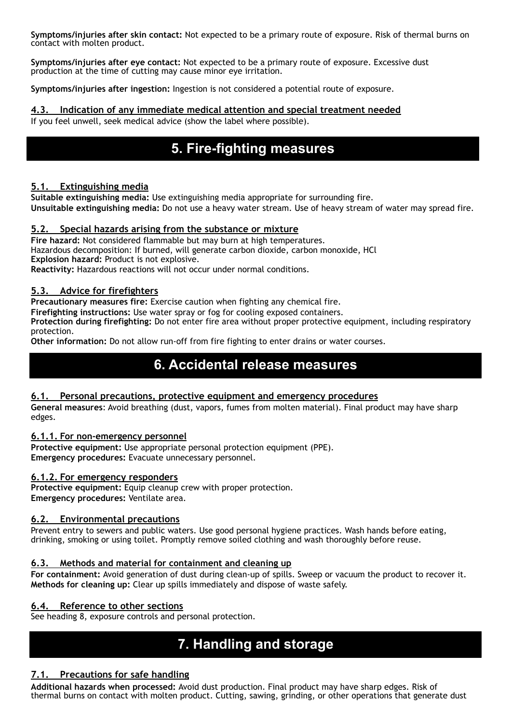**Symptoms/injuries after skin contact:** Not expected to be a primary route of exposure. Risk of thermal burns on contact with molten product.

**Symptoms/injuries after eye contact:** Not expected to be a primary route of exposure. Excessive dust production at the time of cutting may cause minor eye irritation.

**Symptoms/injuries after ingestion:** Ingestion is not considered a potential route of exposure.

#### **4.3. Indication of any immediate medical attention and special treatment needed**

If you feel unwell, seek medical advice (show the label where possible).

# **SECTION 5: Firefighting measures 5. Fire-fighting measures**

#### **5.1. Extinguishing media**

**Suitable extinguishing media:** Use extinguishing media appropriate for surrounding fire. **Unsuitable extinguishing media:** Do not use a heavy water stream. Use of heavy stream of water may spread fire.

#### **5.2. Special hazards arising from the substance or mixture**

**Fire hazard:** Not considered flammable but may burn at high temperatures. Hazardous decomposition: If burned, will generate carbon dioxide, carbon monoxide, HCl **Explosion hazard:** Product is not explosive.

**Reactivity:** Hazardous reactions will not occur under normal conditions.

#### **5.3. Advice for firefighters**

**Precautionary measures fire:** Exercise caution when fighting any chemical fire.

**Firefighting instructions:** Use water spray or fog for cooling exposed containers.

**Protection during firefighting:** Do not enter fire area without proper protective equipment, including respiratory protection.

**Other information:** Do not allow run-off from fire fighting to enter drains or water courses.

### **SECTION 6: Accidental release measures 6. Accidental release measures**

#### **6.1. Personal precautions, protective equipment and emergency procedures**

**General measures**: Avoid breathing (dust, vapors, fumes from molten material). Final product may have sharp edges.

#### **6.1.1. For non-emergency personnel**

**Protective equipment:** Use appropriate personal protection equipment (PPE). **Emergency procedures:** Evacuate unnecessary personnel.

#### **6.1.2. For emergency responders**

Protective equipment: Equip cleanup crew with proper protection. **Emergency procedures:** Ventilate area.

#### **6.2. Environmental precautions**

Prevent entry to sewers and public waters. Use good personal hygiene practices. Wash hands before eating, drinking, smoking or using toilet. Promptly remove soiled clothing and wash thoroughly before reuse.

#### **6.3. Methods and material for containment and cleaning up**

**For containment:** Avoid generation of dust during clean-up of spills. Sweep or vacuum the product to recover it. **Methods for cleaning up:** Clear up spills immediately and dispose of waste safely.

#### **6.4. Reference to other sections**

See heading 8, exposure controls and personal protection.

# **SECTION 7: Handling and storage 7. Handling and storage**

#### **7.1. Precautions for safe handling**

**Additional hazards when processed:** Avoid dust production. Final product may have sharp edges. Risk of thermal burns on contact with molten product. Cutting, sawing, grinding, or other operations that generate dust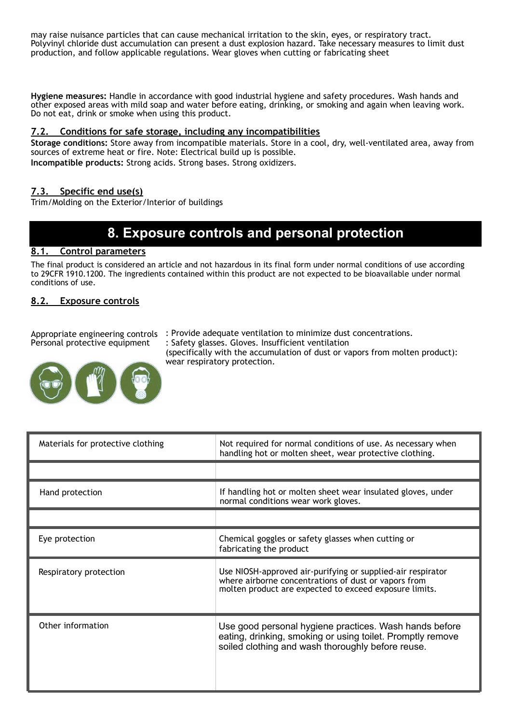may raise nuisance particles that can cause mechanical irritation to the skin, eyes, or respiratory tract. Polyvinyl chloride dust accumulation can present a dust explosion hazard. Take necessary measures to limit dust production, and follow applicable regulations. Wear gloves when cutting or fabricating sheet

**Hygiene measures:** Handle in accordance with good industrial hygiene and safety procedures. Wash hands and other exposed areas with mild soap and water before eating, drinking, or smoking and again when leaving work. Do not eat, drink or smoke when using this product.

#### **7.2. Conditions for safe storage, including any incompatibilities**

**Storage conditions:** Store away from incompatible materials. Store in a cool, dry, well-ventilated area, away from sources of extreme heat or fire. Note: Electrical build up is possible. **Incompatible products:** Strong acids. Strong bases. Strong oxidizers.

#### **7.3. Specific end use(s)**

Trim/Molding on the Exterior/Interior of buildings

# **SECTION 8: Exposure controls/personal protection 8. Exposure controls and personal protection**

#### **8.1. Control parameters**

The final product is considered an article and not hazardous in its final form under normal conditions of use according to 29CFR 1910.1200. The ingredients contained within this product are not expected to be bioavailable under normal conditions of use.

#### **8.2. Exposure controls**

Personal protective equipment

Appropriate engineering controls : Provide adequate ventilation to minimize dust concentrations. : Safety glasses. Gloves. Insufficient ventilation (specifically with the accumulation of dust or vapors from molten product): wear respiratory protection.



Materials for protective clothing Not required for normal conditions of use. As necessary when handling hot or molten sheet, wear protective clothing. Hand protection **If handling hot or molten sheet wear insulated gloves, under** normal conditions wear work gloves. Eye protection Chemical goggles or safety glasses when cutting or fabricating the product Respiratory protection Use NIOSH-approved air-purifying or supplied-air respirator where airborne concentrations of dust or vapors from molten product are expected to exceed exposure limits. Other information **Department Constrained Hygiene practices**. Wash hands before eating, drinking, smoking or using toilet. Promptly remove soiled clothing and wash thoroughly before reuse.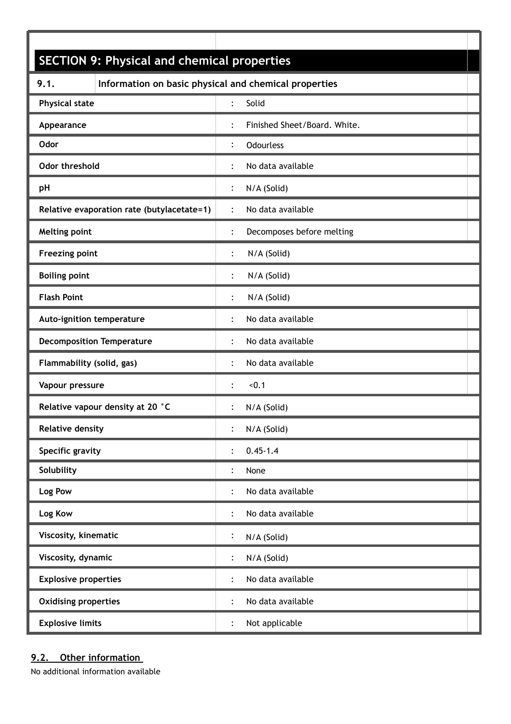| <b>SECTION 9: Physical and chemical properties</b> |                                                       |  |
|----------------------------------------------------|-------------------------------------------------------|--|
| 9.1.                                               | Information on basic physical and chemical properties |  |
| <b>Physical state</b>                              | Solid<br>$\ddot{\cdot}$                               |  |
| Appearance                                         | Finished Sheet/Board. White.<br>$\ddot{\cdot}$        |  |
| Odor                                               | $\ddot{\cdot}$<br><b>Odourless</b>                    |  |
| Odor threshold                                     | No data available<br>:                                |  |
| pH                                                 | N/A (Solid)<br>$\ddot{\cdot}$                         |  |
| Relative evaporation rate (butylacetate=1)         | No data available<br>$\ddot{\cdot}$                   |  |
| Melting point                                      | Decomposes before melting<br>:                        |  |
| <b>Freezing point</b>                              | N/A (Solid)<br>:                                      |  |
| <b>Boiling point</b>                               | N/A (Solid)<br>$\ddot{\cdot}$                         |  |
| <b>Flash Point</b>                                 | N/A (Solid)<br>$\ddot{\cdot}$                         |  |
| Auto-ignition temperature                          | No data available<br>$\ddot{\cdot}$                   |  |
| <b>Decomposition Temperature</b>                   | No data available<br>:                                |  |
| Flammability (solid, gas)                          | No data available<br>$\ddot{\cdot}$                   |  |
| Vapour pressure                                    | < 0.1<br>$\vdots$                                     |  |
| Relative vapour density at 20 °C                   | N/A (Solid)<br>$\ddot{\cdot}$                         |  |
| <b>Relative density</b>                            | N/A (Solid)                                           |  |
| Specific gravity                                   | $0.45 - 1.4$<br>$\ddot{\phantom{a}}$                  |  |
| Solubility                                         | None                                                  |  |
| Log Pow                                            | No data available<br>$\ddot{\cdot}$                   |  |
| Log Kow                                            | No data available<br>:                                |  |
| Viscosity, kinematic                               | $\ddot{\cdot}$<br>N/A (Solid)                         |  |
| Viscosity, dynamic                                 | N/A (Solid)                                           |  |
| <b>Explosive properties</b>                        | No data available<br>$\ddot{\cdot}$                   |  |
| <b>Oxidising properties</b>                        | No data available<br>$\ddot{\cdot}$                   |  |
| <b>Explosive limits</b>                            | Not applicable                                        |  |

### **9.2. Other information**

No additional information available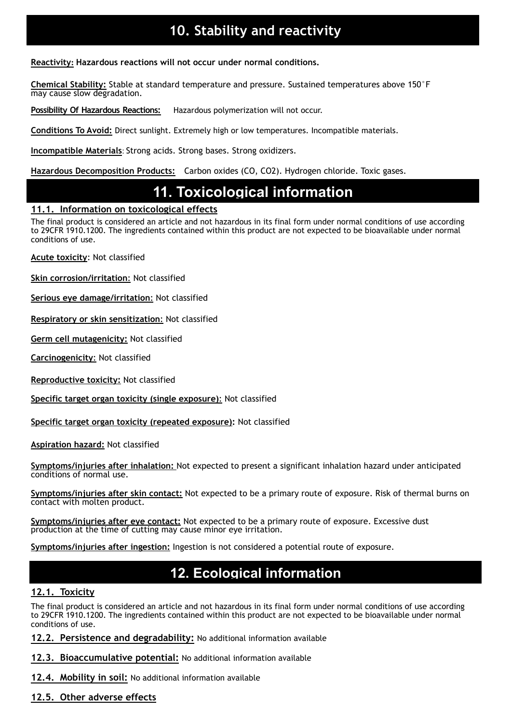# **10. Stability and reactivity**

**Reactivity: Hazardous reactions will not occur under normal conditions.** 

**Chemical Stability:** Stable at standard temperature and pressure. Sustained temperatures above 150°F may cause slow degradation.

**Possibility Of Hazardous Reactions:** Hazardous polymerization will not occur.

**Conditions To Avoid:** Direct sunlight. Extremely high or low temperatures. Incompatible materials.

**Incompatible Materials**: Strong acids. Strong bases. Strong oxidizers.

**Hazardous Decomposition Products:** Carbon oxides (CO, CO2). Hydrogen chloride. Toxic gases.

# **SECTION 11: Toxicological information 11. Toxicological information**

#### **11.1. Information on toxicological effects**

The final product is considered an article and not hazardous in its final form under normal conditions of use according to 29CFR 1910.1200. The ingredients contained within this product are not expected to be bioavailable under normal conditions of use.

**Acute toxicity**: Not classified

**Skin corrosion/irritation**: Not classified

**Serious eye damage/irritation**: Not classified

**Respiratory or skin sensitization**: Not classified

**Germ cell mutagenicity:** Not classified

**Carcinogenicity**: Not classified

**Reproductive toxicity:** Not classified

**Specific target organ toxicity (single exposure)**: Not classified

**Specific target organ toxicity (repeated exposure):** Not classified

**Aspiration hazard:** Not classified

**Symptoms/injuries after inhalation:** Not expected to present a significant inhalation hazard under anticipated conditions of normal use.

**Symptoms/injuries after skin contact:** Not expected to be a primary route of exposure. Risk of thermal burns on contact with molten product.

**Symptoms/injuries after eye contact:** Not expected to be a primary route of exposure. Excessive dust production at the time of cutting may cause minor eye irritation.

**Symptoms/injuries after ingestion:** Ingestion is not considered a potential route of exposure.

# **SECTION 12: Ecological information 12. Ecological information**

#### **12.1. Toxicity**

The final product is considered an article and not hazardous in its final form under normal conditions of use according to 29CFR 1910.1200. The ingredients contained within this product are not expected to be bioavailable under normal conditions of use.

**12.2. Persistence and degradability:** No additional information available

**12.3. Bioaccumulative potential:** No additional information available

**12.4. Mobility in soil:** No additional information available

**12.5. Other adverse effects**